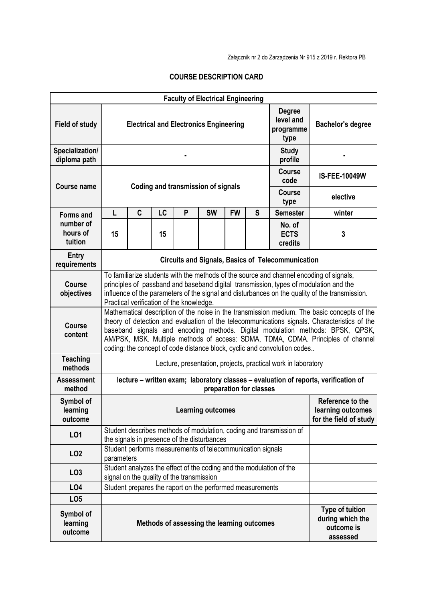Załącznik nr 2 do Zarządzenia Nr 915 z 2019 r. Rektora PB

## **COURSE DESCRIPTION CARD**

|                                  |                                                                                                                                                                                                                                                                                                                                                                                                                                               |                                                                                                  |                      |                                           | <b>Faculty of Electrical Engineering</b>                  |           |                                                                 |                                                                     |                                                                      |
|----------------------------------|-----------------------------------------------------------------------------------------------------------------------------------------------------------------------------------------------------------------------------------------------------------------------------------------------------------------------------------------------------------------------------------------------------------------------------------------------|--------------------------------------------------------------------------------------------------|----------------------|-------------------------------------------|-----------------------------------------------------------|-----------|-----------------------------------------------------------------|---------------------------------------------------------------------|----------------------------------------------------------------------|
| <b>Field of study</b>            |                                                                                                                                                                                                                                                                                                                                                                                                                                               | <b>Degree</b><br>level and<br><b>Electrical and Electronics Engineering</b><br>programme<br>type |                      |                                           |                                                           |           |                                                                 |                                                                     | <b>Bachelor's degree</b>                                             |
| Specialization/<br>diploma path  | <b>Study</b><br>profile                                                                                                                                                                                                                                                                                                                                                                                                                       |                                                                                                  |                      |                                           |                                                           |           |                                                                 |                                                                     |                                                                      |
| <b>Course name</b>               |                                                                                                                                                                                                                                                                                                                                                                                                                                               |                                                                                                  | <b>IS-FEE-10049W</b> |                                           |                                                           |           |                                                                 |                                                                     |                                                                      |
|                                  | Coding and transmission of signals                                                                                                                                                                                                                                                                                                                                                                                                            |                                                                                                  |                      |                                           |                                                           |           |                                                                 | <b>Course</b><br>type                                               | elective                                                             |
| <b>Forms and</b>                 | L                                                                                                                                                                                                                                                                                                                                                                                                                                             | C                                                                                                | LC                   | P                                         | <b>SW</b>                                                 | <b>FW</b> | $\mathsf{S}$                                                    | <b>Semester</b>                                                     | winter                                                               |
| number of<br>hours of<br>tuition | 15                                                                                                                                                                                                                                                                                                                                                                                                                                            |                                                                                                  | 15                   |                                           |                                                           |           |                                                                 | No. of<br><b>ECTS</b><br>credits                                    | 3                                                                    |
| <b>Entry</b><br>requirements     | <b>Circuits and Signals, Basics of Telecommunication</b>                                                                                                                                                                                                                                                                                                                                                                                      |                                                                                                  |                      |                                           |                                                           |           |                                                                 |                                                                     |                                                                      |
| <b>Course</b><br>objectives      | To familiarize students with the methods of the source and channel encoding of signals,<br>principles of passband and baseband digital transmission, types of modulation and the<br>influence of the parameters of the signal and disturbances on the quality of the transmission.<br>Practical verification of the knowledge.                                                                                                                |                                                                                                  |                      |                                           |                                                           |           |                                                                 |                                                                     |                                                                      |
| <b>Course</b><br>content         | Mathematical description of the noise in the transmission medium. The basic concepts of the<br>theory of detection and evaluation of the telecommunications signals. Characteristics of the<br>baseband signals and encoding methods. Digital modulation methods: BPSK, QPSK,<br>AM/PSK, MSK. Multiple methods of access: SDMA, TDMA, CDMA. Principles of channel<br>coding: the concept of code distance block, cyclic and convolution codes |                                                                                                  |                      |                                           |                                                           |           |                                                                 |                                                                     |                                                                      |
| <b>Teaching</b><br>methods       | Lecture, presentation, projects, practical work in laboratory                                                                                                                                                                                                                                                                                                                                                                                 |                                                                                                  |                      |                                           |                                                           |           |                                                                 |                                                                     |                                                                      |
| <b>Assessment</b><br>method      | lecture - written exam; laboratory classes - evaluation of reports, verification of<br>preparation for classes                                                                                                                                                                                                                                                                                                                                |                                                                                                  |                      |                                           |                                                           |           |                                                                 |                                                                     |                                                                      |
| Symbol of<br>learning<br>outcome | <b>Learning outcomes</b>                                                                                                                                                                                                                                                                                                                                                                                                                      |                                                                                                  |                      |                                           |                                                           |           | Reference to the<br>learning outcomes<br>for the field of study |                                                                     |                                                                      |
| LO1                              | Student describes methods of modulation, coding and transmission of<br>the signals in presence of the disturbances                                                                                                                                                                                                                                                                                                                            |                                                                                                  |                      |                                           |                                                           |           |                                                                 |                                                                     |                                                                      |
| LO <sub>2</sub>                  |                                                                                                                                                                                                                                                                                                                                                                                                                                               | Student performs measurements of telecommunication signals<br>parameters                         |                      |                                           |                                                           |           |                                                                 |                                                                     |                                                                      |
| LO <sub>3</sub>                  |                                                                                                                                                                                                                                                                                                                                                                                                                                               |                                                                                                  |                      | signal on the quality of the transmission |                                                           |           |                                                                 | Student analyzes the effect of the coding and the modulation of the |                                                                      |
| LO4                              |                                                                                                                                                                                                                                                                                                                                                                                                                                               |                                                                                                  |                      |                                           | Student prepares the raport on the performed measurements |           |                                                                 |                                                                     |                                                                      |
| LO <sub>5</sub>                  |                                                                                                                                                                                                                                                                                                                                                                                                                                               |                                                                                                  |                      |                                           |                                                           |           |                                                                 |                                                                     |                                                                      |
| Symbol of<br>learning<br>outcome |                                                                                                                                                                                                                                                                                                                                                                                                                                               |                                                                                                  |                      |                                           | Methods of assessing the learning outcomes                |           |                                                                 |                                                                     | <b>Type of tuition</b><br>during which the<br>outcome is<br>assessed |